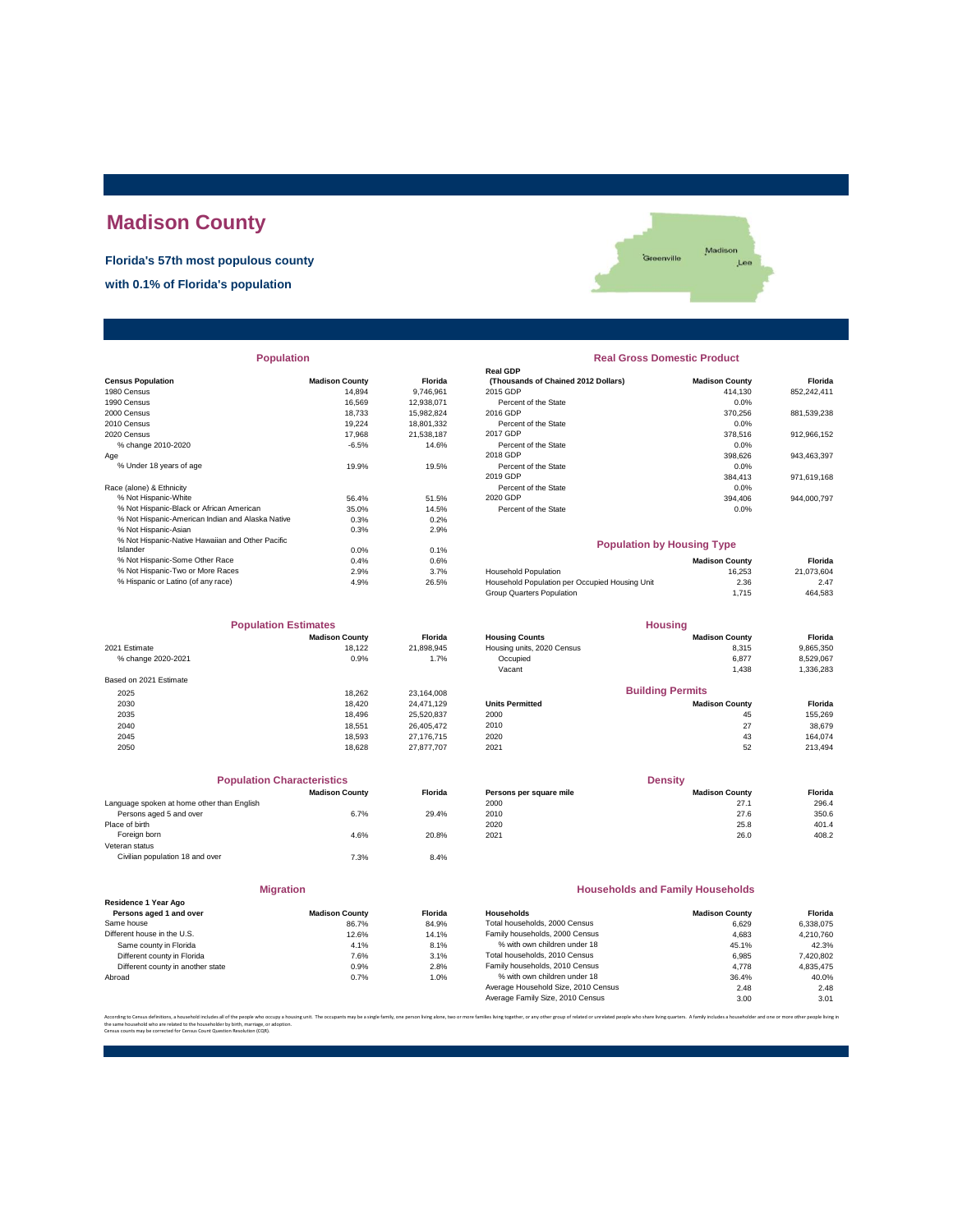# **Madison County**

**Florida's 57th most populous county**

**with 0.1% of Florida's population**



| <b>Population</b>                                |                       |                | <b>Real Gross Domestic Product</b>  |                                   |             |  |
|--------------------------------------------------|-----------------------|----------------|-------------------------------------|-----------------------------------|-------------|--|
|                                                  |                       |                | <b>Real GDP</b>                     |                                   |             |  |
| <b>Census Population</b>                         | <b>Madison County</b> | <b>Florida</b> | (Thousands of Chained 2012 Dollars) | <b>Madison County</b>             | Florida     |  |
| 1980 Census                                      | 14,894                | 9,746,961      | 2015 GDP                            | 414,130                           | 852,242,411 |  |
| 1990 Census                                      | 16.569                | 12,938,071     | Percent of the State                | 0.0%                              |             |  |
| 2000 Census                                      | 18.733                | 15,982,824     | 2016 GDP                            | 370,256                           | 881,539,238 |  |
| 2010 Census                                      | 19.224                | 18,801,332     | Percent of the State                | 0.0%                              |             |  |
| 2020 Census                                      | 17,968                | 21,538,187     | 2017 GDP                            | 378,516                           | 912,966,152 |  |
| % change 2010-2020                               | $-6.5%$               | 14.6%          | Percent of the State                | 0.0%                              |             |  |
| Aqe                                              |                       |                | 2018 GDP                            | 398,626                           | 943,463,397 |  |
| % Under 18 years of age                          | 19.9%                 | 19.5%          | Percent of the State                | 0.0%                              |             |  |
|                                                  |                       |                | 2019 GDP                            | 384,413                           | 971,619,168 |  |
| Race (alone) & Ethnicity                         |                       |                | Percent of the State                | 0.0%                              |             |  |
| % Not Hispanic-White                             | 56.4%                 | 51.5%          | 2020 GDP                            | 394.406                           | 944,000,797 |  |
| % Not Hispanic-Black or African American         | 35.0%                 | 14.5%          | Percent of the State                | 0.0%                              |             |  |
| % Not Hispanic-American Indian and Alaska Native | 0.3%                  | 0.2%           |                                     |                                   |             |  |
| % Not Hispanic-Asian                             | 0.3%                  | 2.9%           |                                     |                                   |             |  |
| % Not Hispanic-Native Hawaiian and Other Pacific |                       |                |                                     | <b>Population by Housing Type</b> |             |  |
| Islander                                         | 0.0%                  | 0.1%           |                                     |                                   |             |  |
| % Not Hispanic-Some Other Race                   | 0.4%                  | 0.6%           |                                     | <b>Madison County</b>             | Florida     |  |
| % Not Hispanic-Two or More Races                 | 2.9%                  | 3.7%           | <b>Household Population</b>         | 16.253                            | 21.073.604  |  |

| <b>Population Estimates</b> |                       |                | <b>Housing</b>             |                         |           |
|-----------------------------|-----------------------|----------------|----------------------------|-------------------------|-----------|
|                             | <b>Madison County</b> | <b>Florida</b> | <b>Housing Counts</b>      | <b>Madison County</b>   | Florida   |
| 2021 Estimate               | 18.122                | 21,898,945     | Housing units, 2020 Census | 8,315                   | 9,865,350 |
| % change 2020-2021          | 0.9%                  | 1.7%           | Occupied                   | 6,877                   | 8,529,067 |
|                             |                       |                | Vacant                     | 1,438                   | 1,336,283 |
| Based on 2021 Estimate      |                       |                |                            |                         |           |
| 2025                        | 18.262                | 23.164.008     |                            | <b>Building Permits</b> |           |
| 2030                        | 18,420                | 24.471.129     | <b>Units Permitted</b>     | <b>Madison County</b>   | Florida   |
| 2035                        | 18.496                | 25.520.837     | 2000                       | 45                      | 155,269   |
| 2040                        | 18.551                | 26.405.472     | 2010                       | 27                      | 38,679    |
| 2045                        | 18.593                | 27.176.715     | 2020                       | 43                      | 164.074   |
| 2050                        | 18.628                | 27.877.707     | 2021                       | 52                      | 213,494   |

|                                            | <b>Population Characteristics</b> |                |
|--------------------------------------------|-----------------------------------|----------------|
|                                            | <b>Madison County</b>             | <b>Florida</b> |
| Language spoken at home other than English |                                   |                |
| Persons aged 5 and over                    | 6.7%                              | 29.4%          |
| Place of birth                             |                                   |                |
| Foreign born                               | 4.6%                              | 20.8%          |
| Veteran status                             |                                   |                |
| Civilian population 18 and over            | 7.3%                              | 8.4%           |
|                                            |                                   |                |
|                                            |                                   |                |

|                                                 | <b>Migration</b>      |               |
|-------------------------------------------------|-----------------------|---------------|
| Residence 1 Year Ago<br>Persons aged 1 and over | <b>Madison County</b> | <b>Florid</b> |
| Same house                                      | 86.7%                 | 84.9%         |
| Different house in the U.S.                     | 12.6%                 | 14.19         |
| Same county in Florida                          | 4.1%                  | 8.1%          |
| Different county in Florida                     | 7.6%                  | 3.1%          |
| Different county in another state               | 0.9%                  | 2.8%          |
| Abroad                                          | 0.7%                  | 1.0%          |

| <b>Population</b> |                       |                | <b>Real Gross Domestic Product</b>  |                       |             |  |  |  |
|-------------------|-----------------------|----------------|-------------------------------------|-----------------------|-------------|--|--|--|
|                   |                       |                | <b>Real GDP</b>                     |                       |             |  |  |  |
|                   | <b>Madison County</b> | <b>Florida</b> | (Thousands of Chained 2012 Dollars) | <b>Madison County</b> | Florida     |  |  |  |
|                   | 14.894                | 9.746.961      | 2015 GDP                            | 414.130               | 852,242,411 |  |  |  |
|                   | 16.569                | 12.938.071     | Percent of the State                | 0.0%                  |             |  |  |  |
|                   | 18.733                | 15,982,824     | 2016 GDP                            | 370.256               | 881,539,238 |  |  |  |
|                   | 19.224                | 18,801,332     | Percent of the State                | 0.0%                  |             |  |  |  |
|                   | 17.968                | 21.538.187     | 2017 GDP                            | 378,516               | 912,966,152 |  |  |  |
|                   | $-6.5%$               | 14.6%          | Percent of the State                | 0.0%                  |             |  |  |  |
|                   |                       |                | 2018 GDP                            | 398,626               | 943,463,397 |  |  |  |
|                   | 19.9%                 | 19.5%          | Percent of the State                | 0.0%                  |             |  |  |  |
|                   |                       |                | 2019 GDP                            | 384.413               | 971,619,168 |  |  |  |
|                   |                       |                | Percent of the State                | 0.0%                  |             |  |  |  |
|                   | 56.4%                 | 51.5%          | 2020 GDP                            | 394.406               | 944,000,797 |  |  |  |
| n                 | 35.0%                 | 14.5%          | Percent of the State                | 0.0%                  |             |  |  |  |
| ska Native        | 0.3%                  | 0.2%           |                                     |                       |             |  |  |  |
|                   | 0.3%                  | 2.9%           |                                     |                       |             |  |  |  |

### **Madison County Florida**<br>16,253 **21,073,604** % Not Hispanic-Two or More Races 2.9% 3.7% Household Population and the method Population 16,253 16,253 21,073,604<br>26.5% Household Population Population 16,253 16,253 21,073,604<br>1,715 464,583 2.9% 26.5% Household Populatio % Hispanic or Latino (of any race) 4.9% 26.5% Household Population per Occupied Housing Unit 2.36 2.47 Group Quarters Population 1,715 464,583 **Population by Housing Type**

| <b>Madison County</b> | <b>Florida</b>              | <b>Housing Counts</b>      | <b>Madison County</b>   | Florida        |
|-----------------------|-----------------------------|----------------------------|-------------------------|----------------|
| 18.122                | 21.898.945                  | Housing units, 2020 Census | 8.315                   | 9,865,350      |
| 0.9%                  | 1.7%                        | Occupied                   | 6.877                   | 8,529,067      |
|                       |                             | Vacant                     | 1.438                   | 1,336,283      |
|                       |                             |                            |                         |                |
| 18.262                | 23.164.008                  |                            | <b>Building Permits</b> |                |
| 18,420                | 24.471.129                  | <b>Units Permitted</b>     | <b>Madison County</b>   | Florida        |
| 18,496                | 25.520.837                  | 2000                       | 45                      | 155.269        |
| 18.551                | 26.405.472                  | 2010                       | 27                      | 38,679         |
| 18.593                | 27.176.715                  | 2020                       | 43                      | 164.074        |
|                       | <b>Population Estimates</b> |                            |                         | <b>Housing</b> |

| <b>Population Characteristics</b>          |                       |         | <b>Density</b>          |                       |         |
|--------------------------------------------|-----------------------|---------|-------------------------|-----------------------|---------|
|                                            | <b>Madison County</b> | Florida | Persons per square mile | <b>Madison County</b> | Florida |
| Language spoken at home other than English |                       |         | 2000                    | 27.1                  | 296.4   |
| Persons aged 5 and over                    | 6.7%                  | 29.4%   | 2010                    | 27.6                  | 350.6   |
| Place of birth                             |                       |         | 2020                    | 25.8                  | 401.4   |
| Foreign born                               | 4.6%                  | 20.8%   | 2021                    | 26.0                  | 408.2   |
|                                            |                       |         |                         |                       |         |

#### **Households and Family Households**

| Residence 1 Year Ago              |                       |                |                                     |                       |           |
|-----------------------------------|-----------------------|----------------|-------------------------------------|-----------------------|-----------|
| Persons aged 1 and over           | <b>Madison County</b> | <b>Florida</b> | Households                          | <b>Madison County</b> | Florida   |
| Same house                        | 86.7%                 | 84.9%          | Total households, 2000 Census       | 6.629                 | 6.338.075 |
| Different house in the U.S.       | 12.6%                 | 14.1%          | Family households, 2000 Census      | 4.683                 | 4.210.760 |
| Same county in Florida            | 4.1%                  | 8.1%           | % with own children under 18        | 45.1%                 | 42.3%     |
| Different county in Florida       | 7.6%                  | 3.1%           | Total households, 2010 Census       | 6.985                 | 7,420,802 |
| Different county in another state | 0.9%                  | 2.8%           | Family households, 2010 Census      | 4.778                 | 4.835.475 |
| Abroad                            | 0.7%                  | 1.0%           | % with own children under 18        | 36.4%                 | 40.0%     |
|                                   |                       |                | Average Household Size, 2010 Census | 2.48                  | 2.48      |
|                                   |                       |                | Average Family Size, 2010 Census    | 3.00                  | 3.01      |
|                                   |                       |                |                                     |                       |           |

.<br>I living alone, two or more families living together, or any other group of related or unrelated people who share living quarters. A family includes a householder and one or more other people li the same household who are related to the householder by birth, marriage, or adoption. Census counts may be corrected for Census Count Question Resolution (CQR).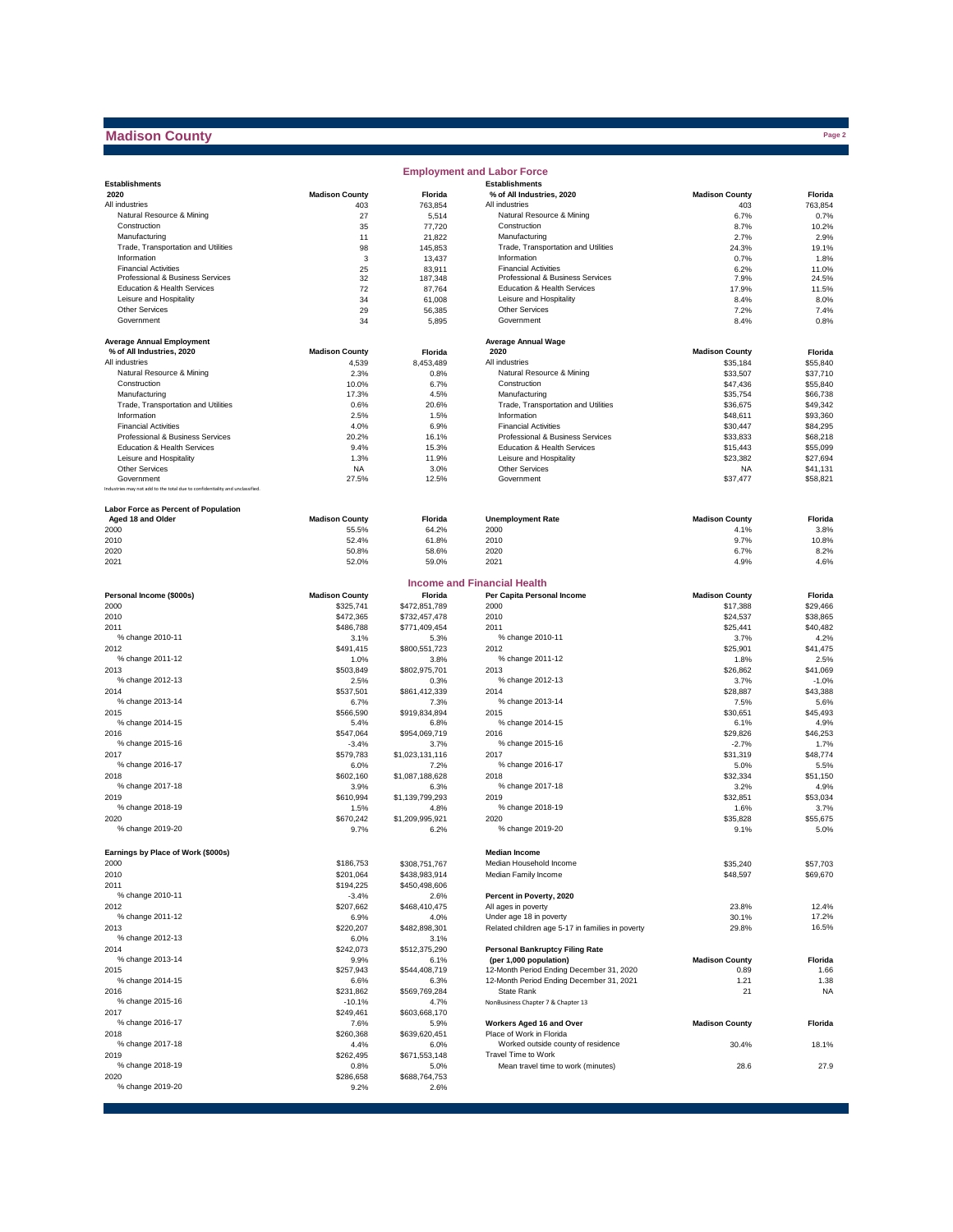## **Madison County**

|                                                                              |                       |                         | <b>Employment and Labor Force</b>                    |                       |                      |
|------------------------------------------------------------------------------|-----------------------|-------------------------|------------------------------------------------------|-----------------------|----------------------|
| <b>Establishments</b>                                                        |                       |                         | <b>Establishments</b>                                |                       |                      |
| 2020                                                                         | <b>Madison County</b> | Florida                 | % of All Industries, 2020                            | <b>Madison County</b> | Florida              |
| All industries                                                               | 403                   | 763,854                 | All industries                                       | 403                   | 763,854              |
| Natural Resource & Mining                                                    | 27                    | 5,514                   | Natural Resource & Mining                            | 6.7%                  | 0.7%                 |
| Construction                                                                 | 35<br>11              | 77,720                  | Construction                                         | 8.7%                  | 10.2%<br>2.9%        |
| Manufacturing<br>Trade, Transportation and Utilities                         | 98                    | 21,822<br>145,853       | Manufacturing<br>Trade, Transportation and Utilities | 2.7%<br>24.3%         | 19.1%                |
| Information                                                                  | 3                     |                         | Information                                          | 0.7%                  | 1.8%                 |
| <b>Financial Activities</b>                                                  | 25                    | 13,437<br>83,911        | <b>Financial Activities</b>                          | 6.2%                  | 11.0%                |
| Professional & Business Services                                             | 32                    | 187,348                 | Professional & Business Services                     | 7.9%                  | 24.5%                |
| Education & Health Services                                                  | 72                    | 87,764                  | Education & Health Services                          | 17.9%                 | 11.5%                |
| Leisure and Hospitality                                                      | 34                    | 61,008                  | Leisure and Hospitality                              | 8.4%                  | 8.0%                 |
| <b>Other Services</b>                                                        | 29                    | 56,385                  | <b>Other Services</b>                                | 7.2%                  | 7.4%                 |
| Government                                                                   | 34                    | 5,895                   | Government                                           | 8.4%                  | 0.8%                 |
|                                                                              |                       |                         |                                                      |                       |                      |
| <b>Average Annual Employment</b>                                             |                       |                         | <b>Average Annual Wage</b>                           |                       |                      |
| % of All Industries, 2020                                                    | <b>Madison County</b> | Florida                 | 2020                                                 | <b>Madison County</b> | Florida              |
| All industries                                                               | 4,539                 | 8,453,489               | All industries                                       | \$35,184              | \$55,840             |
| Natural Resource & Mining                                                    | 2.3%                  | 0.8%                    | Natural Resource & Mining                            | \$33.507              | \$37,710             |
| Construction                                                                 | 10.0%                 | 6.7%                    | Construction                                         | \$47,436              | \$55,840             |
| Manufacturing                                                                | 17.3%                 | 4.5%                    | Manufacturing                                        | \$35,754              | \$66,738             |
| Trade, Transportation and Utilities                                          | 0.6%                  | 20.6%                   | Trade, Transportation and Utilities                  | \$36,675              | \$49,342             |
| Information                                                                  | 2.5%                  | 1.5%                    | Information                                          | \$48,611              | \$93,360             |
| <b>Financial Activities</b>                                                  | 4.0%                  | 6.9%                    | <b>Financial Activities</b>                          | \$30,447              | \$84,295             |
| Professional & Business Services                                             | 20.2%                 | 16.1%                   | Professional & Business Services                     | \$33,833              | \$68,218             |
| Education & Health Services                                                  | 9.4%                  | 15.3%                   | <b>Education &amp; Health Services</b>               | \$15,443              | \$55,099             |
| Leisure and Hospitality                                                      | 1.3%                  | 11.9%                   | Leisure and Hospitality                              | \$23,382              | \$27,694             |
| <b>Other Services</b><br>Government                                          | <b>NA</b>             | 3.0%                    | <b>Other Services</b><br>Government                  | <b>NA</b>             | \$41,131             |
| Industries may not add to the total due to confidentiality and unclassified. | 27.5%                 | 12.5%                   |                                                      | \$37,477              | \$58,821             |
|                                                                              |                       |                         |                                                      |                       |                      |
| Labor Force as Percent of Population                                         |                       |                         |                                                      |                       |                      |
| Aged 18 and Older                                                            | <b>Madison County</b> | Florida                 | <b>Unemployment Rate</b>                             | <b>Madison County</b> | Florida              |
| 2000                                                                         | 55.5%                 | 64.2%                   | 2000                                                 | 4.1%                  | 3.8%                 |
| 2010                                                                         | 52.4%                 | 61.8%                   | 2010                                                 | 9.7%                  | 10.8%                |
| 2020                                                                         | 50.8%                 | 58.6%                   | 2020                                                 | 6.7%                  | 8.2%                 |
| 2021                                                                         | 52.0%                 | 59.0%                   | 2021                                                 | 4.9%                  | 4.6%                 |
|                                                                              |                       |                         |                                                      |                       |                      |
|                                                                              |                       |                         | <b>Income and Financial Health</b>                   |                       |                      |
| Personal Income (\$000s)                                                     | <b>Madison County</b> | Florida                 | Per Capita Personal Income                           | <b>Madison County</b> | Florida              |
| 2000                                                                         | \$325.741             | \$472,851,789           | 2000                                                 | \$17,388              | \$29,466             |
| 2010                                                                         | \$472,365             | \$732,457,478           | 2010                                                 | \$24,537              | \$38,865             |
| 2011                                                                         | \$486,788             | \$771,409,454           | 2011                                                 | \$25,441              | \$40,482             |
| % change 2010-11                                                             | 3.1%                  | 5.3%                    | % change 2010-11                                     | 3.7%                  | 4.2%                 |
| 2012                                                                         | \$491,415             | \$800,551,723           | 2012                                                 | \$25,901              | \$41,475             |
| % change 2011-12                                                             | 1.0%                  | 3.8%                    | % change 2011-12                                     | 1.8%                  | 2.5%                 |
| 2013                                                                         | \$503,849             | \$802,975,701           | 2013                                                 | \$26,862              | \$41,069             |
| % change 2012-13                                                             | 2.5%                  | 0.3%                    | % change 2012-13                                     | 3.7%                  | $-1.0%$              |
| 2014                                                                         | \$537,501             | \$861,412,339           | 2014                                                 | \$28,887              | \$43,388             |
| % change 2013-14                                                             | 6.7%                  | 7.3%                    | % change 2013-14                                     | 7.5%                  | 5.6%                 |
| 2015                                                                         | \$566,590             | \$919,834,894           | 2015                                                 | \$30,651              | \$45,493             |
| % change 2014-15                                                             | 5.4%                  | 6.8%                    | % change 2014-15                                     | 6.1%                  | 4.9%                 |
| 2016                                                                         | \$547,064             | \$954,069,719           | 2016                                                 | \$29,826              | \$46,253             |
| % change 2015-16                                                             | $-3.4%$               | 3.7%                    | % change 2015-16                                     | $-2.7%$               | 1.7%                 |
| 2017                                                                         | \$579,783             | \$1,023,131,116         | 2017                                                 | \$31,319              | \$48,774             |
| % change 2016-17                                                             | 6.0%                  | 7.2%                    | % change 2016-17                                     | 5.0%                  | 5.5%                 |
| 2018                                                                         | \$602,160             | \$1,087,188,628         | 2018                                                 | \$32,334              | \$51,150             |
| % change 2017-18                                                             | 3.9%                  | 6.3%                    | % change 2017-18                                     | 3.2%                  | 4.9%                 |
| 2019<br>% change 2018-19                                                     | \$610,994             | \$1,139,799,293         | 2019<br>% change 2018-19                             | \$32,851              | \$53,034             |
| 2020                                                                         | 1.5%<br>\$670,242     | 4.8%<br>\$1,209,995.921 | 2020                                                 | 1.6%<br>\$35,828      | 3.7%<br>\$55,675     |
| % change 2019-20                                                             | 9.7%                  | 6.2%                    | % change 2019-20                                     | 9.1%                  | 5.0%                 |
|                                                                              |                       |                         |                                                      |                       |                      |
|                                                                              |                       |                         | <b>Median Income</b>                                 |                       |                      |
| Earnings by Place of Work (\$000s)<br>2000                                   |                       |                         | Median Household Income                              |                       |                      |
|                                                                              | \$186,753             | \$308,751,767           | Median Family Income                                 | \$35,240              | \$57,703<br>\$69,670 |
| 2010                                                                         | \$201,064             | \$438,983,914           |                                                      | \$48,597              |                      |
| 2011<br>% change 2010-11                                                     | \$194,225             | \$450,498,606<br>2.6%   | Percent in Poverty, 2020                             |                       |                      |
| 2012                                                                         | $-3.4%$<br>\$207,662  | \$468,410,475           | All ages in poverty                                  | 23.8%                 | 12.4%                |
| % change 2011-12                                                             | 6.9%                  | 4.0%                    | Under age 18 in poverty                              | 30.1%                 | 17.2%                |
| 2013                                                                         | \$220,207             | \$482,898,301           | Related children age 5-17 in families in poverty     | 29.8%                 | 16.5%                |
| % change 2012-13                                                             | 6.0%                  | 3.1%                    |                                                      |                       |                      |
| 2014                                                                         | \$242,073             | \$512,375,290           | <b>Personal Bankruptcy Filing Rate</b>               |                       |                      |
| % change 2013-14                                                             | 9.9%                  | 6.1%                    | (per 1,000 population)                               | <b>Madison County</b> | Florida              |
| 2015                                                                         | \$257,943             | \$544,408,719           | 12-Month Period Ending December 31, 2020             | 0.89                  | 1.66                 |
| % change 2014-15                                                             | 6.6%                  | 6.3%                    | 12-Month Period Ending December 31, 2021             | 1.21                  | 1.38                 |
| 2016                                                                         | \$231,862             | \$569,769,284           | State Rank                                           | 21                    | <b>NA</b>            |
| % change 2015-16                                                             | $-10.1%$              | 4.7%                    | NonBusiness Chapter 7 & Chapter 13                   |                       |                      |
| 2017                                                                         | \$249,461             | \$603,668,170           |                                                      |                       |                      |
| % change 2016-17                                                             | 7.6%                  | 5.9%                    | Workers Aged 16 and Over                             | <b>Madison County</b> | Florida              |
| 2018                                                                         | \$260,368             | \$639,620,451           | Place of Work in Florida                             |                       |                      |
| % change 2017-18                                                             | 4.4%                  | 6.0%                    | Worked outside county of residence                   | 30.4%                 | 18.1%                |
| 2019                                                                         | \$262,495             | \$671,553,148           | Travel Time to Work                                  |                       |                      |
| % change 2018-19                                                             | 0.8%                  | 5.0%                    | Mean travel time to work (minutes)                   | 28.6                  | 27.9                 |
| 2020                                                                         | \$286,658             | \$688,764,753           |                                                      |                       |                      |
| % change 2019-20                                                             | 9.2%                  | 2.6%                    |                                                      |                       |                      |